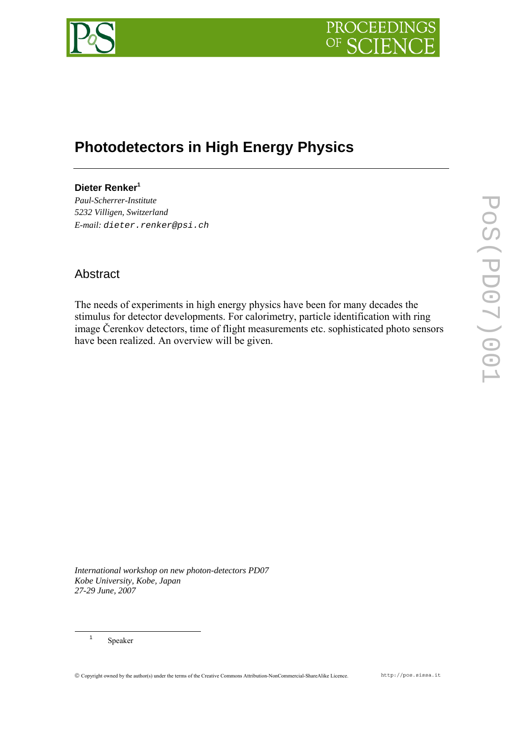

# **Photodetectors in High Energy Physics**

# **Dieter Renke[r1](#page-0-0)**

*Paul-Scherrer-Institute 5232 Villigen, Switzerland E-mail: dieter.renker@psi.ch* 

# Abstract

The needs of experiments in high energy physics have been for many decades the stimulus for detector developments. For calorimetry, particle identification with ring image Čerenkov detectors, time of flight measurements etc. sophisticated photo sensors have been realized. An overview will be given.

*International workshop on new photon-detectors PD07 Kobe University, Kobe, Japan 27-29 June, 2007*

<span id="page-0-0"></span> <sup>1</sup> Speaker

© Copyright owned by the author(s) under the terms of the Creative Commons Attribution-NonCommercial-ShareAlike Licence. http://pos.sissa.it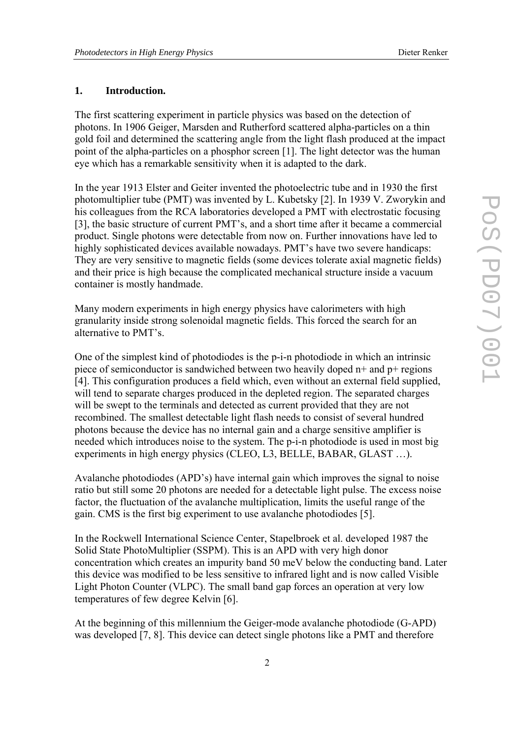#### **1. Introduction.**

The first scattering experiment in particle physics was based on the detection of photons. In 1906 Geiger, Marsden and Rutherford scattered alpha-particles on a thin gold foil and determined the scattering angle from the light flash produced at the impact point of the alpha-particles on a phosphor screen [1]. The light detector was the human eye which has a remarkable sensitivity when it is adapted to the dark.

In the year 1913 Elster and Geiter invented the photoelectric tube and in 1930 the first photomultiplier tube (PMT) was invented by L. Kubetsky [2]. In 1939 V. Zworykin and his colleagues from the RCA laboratories developed a PMT with electrostatic focusing [3], the basic structure of current PMT's, and a short time after it became a commercial product. Single photons were detectable from now on. Further innovations have led to highly sophisticated devices available nowadays. PMT's have two severe handicaps: They are very sensitive to magnetic fields (some devices tolerate axial magnetic fields) and their price is high because the complicated mechanical structure inside a vacuum container is mostly handmade.

Many modern experiments in high energy physics have calorimeters with high granularity inside strong solenoidal magnetic fields. This forced the search for an alternative to PMT's.

One of the simplest kind of photodiodes is the p-i-n photodiode in which an intrinsic piece of semiconductor is sandwiched between two heavily doped n+ and p+ regions [4]. This configuration produces a field which, even without an external field supplied, will tend to separate charges produced in the depleted region. The separated charges will be swept to the terminals and detected as current provided that they are not recombined. The smallest detectable light flash needs to consist of several hundred photons because the device has no internal gain and a charge sensitive amplifier is needed which introduces noise to the system. The p-i-n photodiode is used in most big experiments in high energy physics (CLEO, L3, BELLE, BABAR, GLAST …).

Avalanche photodiodes (APD's) have internal gain which improves the signal to noise ratio but still some 20 photons are needed for a detectable light pulse. The excess noise factor, the fluctuation of the avalanche multiplication, limits the useful range of the gain. CMS is the first big experiment to use avalanche photodiodes [5].

In the Rockwell International Science Center, Stapelbroek et al. developed 1987 the Solid State PhotoMultiplier (SSPM). This is an APD with very high donor concentration which creates an impurity band 50 meV below the conducting band. Later this device was modified to be less sensitive to infrared light and is now called Visible Light Photon Counter (VLPC). The small band gap forces an operation at very low temperatures of few degree Kelvin [6].

At the beginning of this millennium the Geiger-mode avalanche photodiode (G-APD) was developed [7, 8]. This device can detect single photons like a PMT and therefore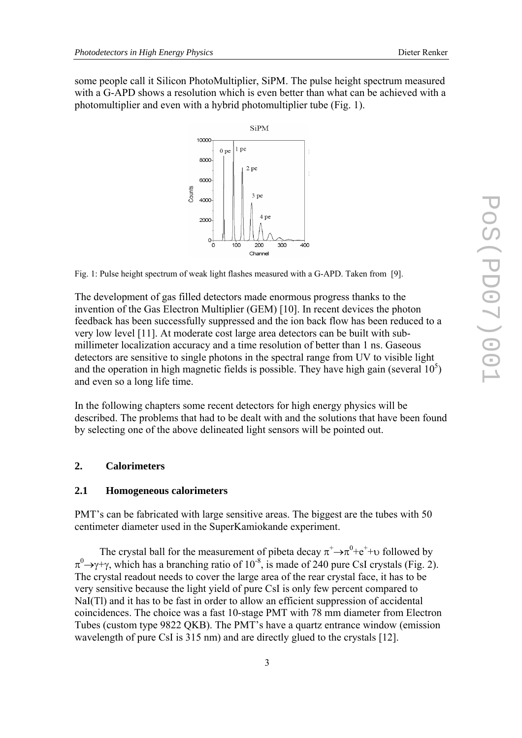some people call it Silicon PhotoMultiplier, SiPM. The pulse height spectrum measured with a G-APD shows a resolution which is even better than what can be achieved with a photomultiplier and even with a hybrid photomultiplier tube (Fig. 1).



Fig. 1: Pulse height spectrum of weak light flashes measured with a G-APD. Taken from [9].

The development of gas filled detectors made enormous progress thanks to the invention of the Gas Electron Multiplier (GEM) [10]. In recent devices the photon feedback has been successfully suppressed and the ion back flow has been reduced to a very low level [11]. At moderate cost large area detectors can be built with submillimeter localization accuracy and a time resolution of better than 1 ns. Gaseous detectors are sensitive to single photons in the spectral range from UV to visible light and the operation in high magnetic fields is possible. They have high gain (several  $10<sup>5</sup>$ ) and even so a long life time.

In the following chapters some recent detectors for high energy physics will be described. The problems that had to be dealt with and the solutions that have been found by selecting one of the above delineated light sensors will be pointed out.

### **2. Calorimeters**

#### **2.1 Homogeneous calorimeters**

PMT's can be fabricated with large sensitive areas. The biggest are the tubes with 50 centimeter diameter used in the SuperKamiokande experiment.

The crystal ball for the measurement of pibeta decay  $\pi^+ \rightarrow \pi^0 + e^+ + \upsilon$  followed by  $\pi^0\rightarrow$ γ+γ, which has a branching ratio of 10<sup>-8</sup>, is made of 240 pure CsI crystals (Fig. 2). The crystal readout needs to cover the large area of the rear crystal face, it has to be very sensitive because the light yield of pure CsI is only few percent compared to NaI(Tl) and it has to be fast in order to allow an efficient suppression of accidental coincidences. The choice was a fast 10-stage PMT with 78 mm diameter from Electron Tubes (custom type 9822 QKB). The PMT's have a quartz entrance window (emission wavelength of pure CsI is 315 nm) and are directly glued to the crystals [12].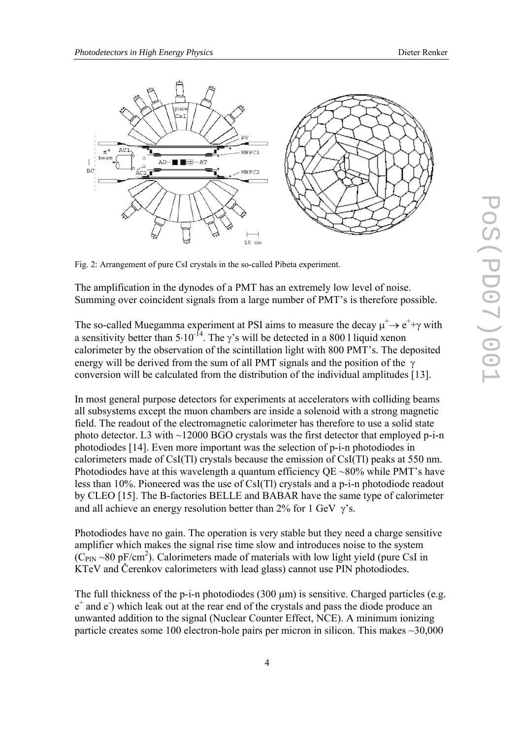

Fig. 2: Arrangement of pure CsI crystals in the so-called Pibeta experiment.

The amplification in the dynodes of a PMT has an extremely low level of noise. Summing over coincident signals from a large number of PMT's is therefore possible.

The so-called Muegamma experiment at PSI aims to measure the decay  $\mu^+ \rightarrow e^+ + \gamma$  with a sensitivity better than  $5.10^{-14}$ . The  $\gamma$ 's will be detected in a 800 l liquid xenon calorimeter by the observation of the scintillation light with 800 PMT's. The deposited energy will be derived from the sum of all PMT signals and the position of the  $\gamma$ conversion will be calculated from the distribution of the individual amplitudes [13].

In most general purpose detectors for experiments at accelerators with colliding beams all subsystems except the muon chambers are inside a solenoid with a strong magnetic field. The readout of the electromagnetic calorimeter has therefore to use a solid state photo detector. L3 with ~12000 BGO crystals was the first detector that employed p-i-n photodiodes [14]. Even more important was the selection of p-i-n photodiodes in calorimeters made of CsI(Tl) crystals because the emission of CsI(Tl) peaks at 550 nm. Photodiodes have at this wavelength a quantum efficiency  $QE \sim 80\%$  while PMT's have less than 10%. Pioneered was the use of CsI(Tl) crystals and a p-i-n photodiode readout by CLEO [15]. The B-factories BELLE and BABAR have the same type of calorimeter and all achieve an energy resolution better than  $2\%$  for 1 GeV  $\gamma$ 's.

Photodiodes have no gain. The operation is very stable but they need a charge sensitive amplifier which makes the signal rise time slow and introduces noise to the system  $(C_{\text{PIN}} \sim 80 \text{ pF/cm}^2)$ . Calorimeters made of materials with low light yield (pure CsI in KTeV and Čerenkov calorimeters with lead glass) cannot use PIN photodiodes.

The full thickness of the p-i-n photodiodes  $(300 \,\mu m)$  is sensitive. Charged particles (e.g. e<sup>+</sup> and e<sup>-</sup>) which leak out at the rear end of the crystals and pass the diode produce an unwanted addition to the signal (Nuclear Counter Effect, NCE). A minimum ionizing particle creates some 100 electron-hole pairs per micron in silicon. This makes  $\sim$ 30,000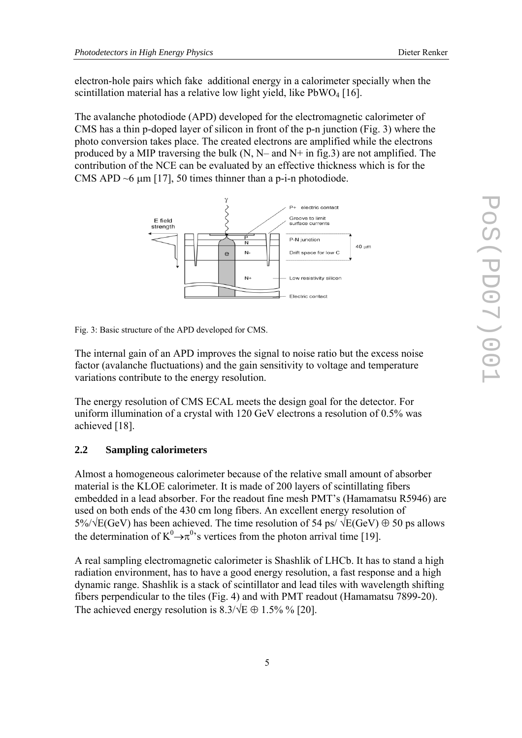electron-hole pairs which fake additional energy in a calorimeter specially when the scintillation material has a relative low light yield, like  $PbWO_4$  [16].

The avalanche photodiode (APD) developed for the electromagnetic calorimeter of CMS has a thin p-doped layer of silicon in front of the p-n junction (Fig. 3) where the photo conversion takes place. The created electrons are amplified while the electrons produced by a MIP traversing the bulk (N, N– and N+ in fig.3) are not amplified. The contribution of the NCE can be evaluated by an effective thickness which is for the CMS APD  $\sim$ 6  $\mu$ m [17], 50 times thinner than a p-i-n photodiode.



Fig. 3: Basic structure of the APD developed for CMS.

The internal gain of an APD improves the signal to noise ratio but the excess noise factor (avalanche fluctuations) and the gain sensitivity to voltage and temperature variations contribute to the energy resolution.

The energy resolution of CMS ECAL meets the design goal for the detector. For uniform illumination of a crystal with 120 GeV electrons a resolution of 0.5% was achieved [18].

#### **2.2 Sampling calorimeters**

Almost a homogeneous calorimeter because of the relative small amount of absorber material is the KLOE calorimeter. It is made of 200 layers of scintillating fibers embedded in a lead absorber. For the readout fine mesh PMT's (Hamamatsu R5946) are used on both ends of the 430 cm long fibers. An excellent energy resolution of 5%/ $\sqrt{E(GeV)}$  has been achieved. The time resolution of 54 ps/  $\sqrt{E(GeV)} \oplus 50$  ps allows the determination of  $K^0 \rightarrow \pi^0$ 's vertices from the photon arrival time [19].

A real sampling electromagnetic calorimeter is Shashlik of LHCb. It has to stand a high radiation environment, has to have a good energy resolution, a fast response and a high dynamic range. Shashlik is a stack of scintillator and lead tiles with wavelength shifting fibers perpendicular to the tiles (Fig. 4) and with PMT readout (Hamamatsu 7899-20). The achieved energy resolution is  $8.3/\sqrt{E} \oplus 1.5\%$  % [20].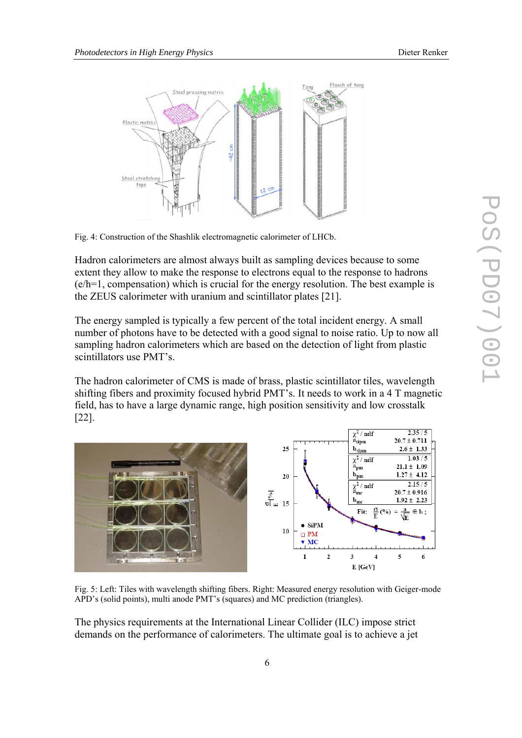

Fig. 4: Construction of the Shashlik electromagnetic calorimeter of LHCb.

Hadron calorimeters are almost always built as sampling devices because to some extent they allow to make the response to electrons equal to the response to hadrons (e/h=1, compensation) which is crucial for the energy resolution. The best example is the ZEUS calorimeter with uranium and scintillator plates [21].

The energy sampled is typically a few percent of the total incident energy. A small number of photons have to be detected with a good signal to noise ratio. Up to now all sampling hadron calorimeters which are based on the detection of light from plastic scintillators use PMT's.

The hadron calorimeter of CMS is made of brass, plastic scintillator tiles, wavelength shifting fibers and proximity focused hybrid PMT's. It needs to work in a 4 T magnetic field, has to have a large dynamic range, high position sensitivity and low crosstalk [22].



Fig. 5: Left: Tiles with wavelength shifting fibers. Right: Measured energy resolution with Geiger-mode APD's (solid points), multi anode PMT's (squares) and MC prediction (triangles).

The physics requirements at the International Linear Collider (ILC) impose strict demands on the performance of calorimeters. The ultimate goal is to achieve a jet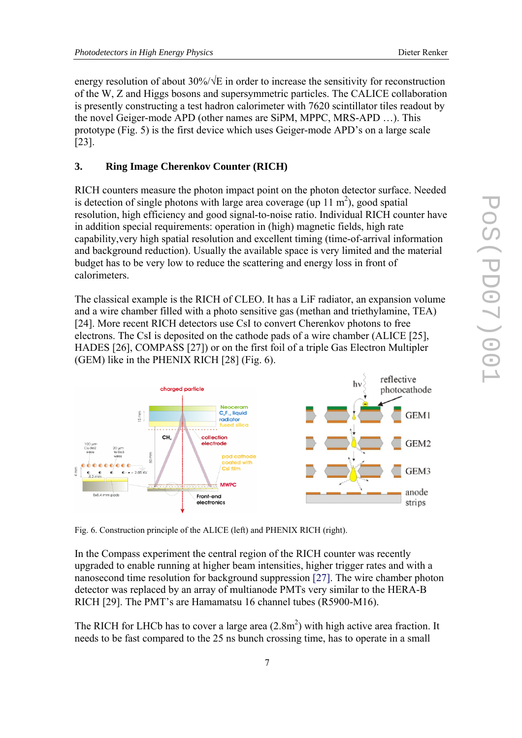energy resolution of about 30%/√E in order to increase the sensitivity for reconstruction of the W, Z and Higgs bosons and supersymmetric particles. The CALICE collaboration is presently constructing a test hadron calorimeter with 7620 scintillator tiles readout by the novel Geiger-mode APD (other names are SiPM, MPPC, MRS-APD …). This prototype (Fig. 5) is the first device which uses Geiger-mode APD's on a large scale [23].

#### **3. Ring Image Cherenkov Counter (RICH)**

RICH counters measure the photon impact point on the photon detector surface. Needed is detection of single photons with large area coverage (up 11  $\text{m}^2$ ), good spatial resolution, high efficiency and good signal-to-noise ratio. Individual RICH counter have in addition special requirements: operation in (high) magnetic fields, high rate capability,very high spatial resolution and excellent timing (time-of-arrival information and background reduction). Usually the available space is very limited and the material budget has to be very low to reduce the scattering and energy loss in front of calorimeters.

The classical example is the RICH of CLEO. It has a LiF radiator, an expansion volume and a wire chamber filled with a photo sensitive gas (methan and triethylamine, TEA) [24]. More recent RICH detectors use CsI to convert Cherenkov photons to free electrons. The CsI is deposited on the cathode pads of a wire chamber (ALICE [25], HADES [26], COMPASS [27]) or on the first foil of a triple Gas Electron Multipler (GEM) like in the PHENIX RICH [28] (Fig. 6).



Fig. 6. Construction principle of the ALICE (left) and PHENIX RICH (right).

In the Compass experiment the central region of the RICH counter was recently upgraded to enable running at higher beam intensities, higher trigger rates and with a nanosecond time resolution for background suppression [27]. The wire chamber photon detector was replaced by an array of multianode PMTs very similar to the HERA-B RICH [29]. The PMT's are Hamamatsu 16 channel tubes (R5900-M16).

The RICH for LHCb has to cover a large area  $(2.8m^2)$  with high active area fraction. It needs to be fast compared to the 25 ns bunch crossing time, has to operate in a small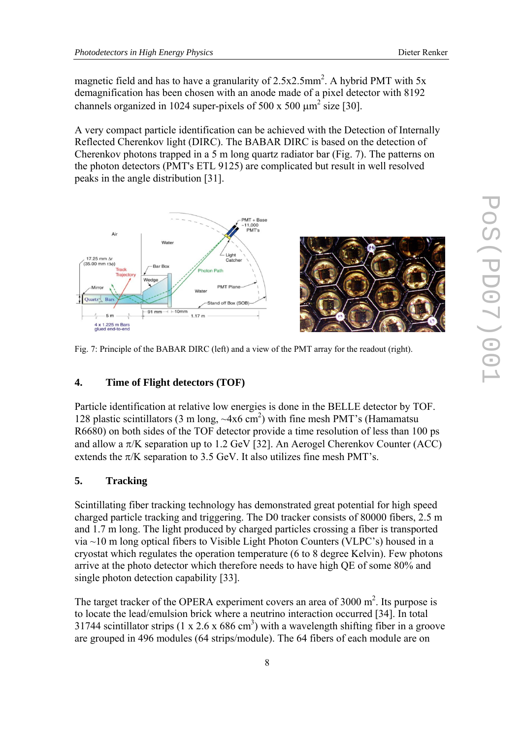magnetic field and has to have a granularity of  $2.5x2.5mm^2$ . A hybrid PMT with 5x demagnification has been chosen with an anode made of a pixel detector with 8192 channels organized in 1024 super-pixels of 500 x 500  $\mu$ m<sup>2</sup> size [30].

A very compact particle identification can be achieved with the Detection of Internally Reflected Cherenkov light (DIRC). The BABAR DIRC is based on the detection of Cherenkov photons trapped in a 5 m long quartz radiator bar (Fig. 7). The patterns on the photon detectors (PMT's ETL 9125) are complicated but result in well resolved peaks in the angle distribution [31].



Fig. 7: Principle of the BABAR DIRC (left) and a view of the PMT array for the readout (right).

## **4. Time of Flight detectors (TOF)**

Particle identification at relative low energies is done in the BELLE detector by TOF. 128 plastic scintillators (3 m long,  $\sim$ 4x6 cm<sup>2</sup>) with fine mesh PMT's (Hamamatsu R6680) on both sides of the TOF detector provide a time resolution of less than 100 ps and allow a  $\pi$ /K separation up to 1.2 GeV [32]. An Aerogel Cherenkov Counter (ACC) extends the  $\pi/K$  separation to 3.5 GeV. It also utilizes fine mesh PMT's.

#### **5. Tracking**

Scintillating fiber tracking technology has demonstrated great potential for high speed charged particle tracking and triggering. The D0 tracker consists of 80000 fibers, 2.5 m and 1.7 m long. The light produced by charged particles crossing a fiber is transported via ~10 m long optical fibers to Visible Light Photon Counters (VLPC's) housed in a cryostat which regulates the operation temperature (6 to 8 degree Kelvin). Few photons arrive at the photo detector which therefore needs to have high QE of some 80% and single photon detection capability [33].

The target tracker of the OPERA experiment covers an area of  $3000 \text{ m}^2$ . Its purpose is to locate the lead/emulsion brick where a neutrino interaction occurred [34]. In total 31744 scintillator strips  $(1 \times 2.6 \times 686 \text{ cm}^3)$  with a wavelength shifting fiber in a groove are grouped in 496 modules (64 strips/module). The 64 fibers of each module are on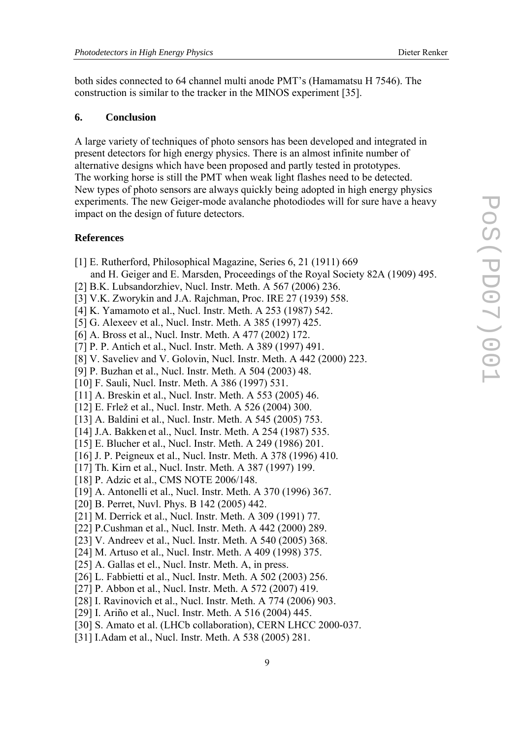both sides connected to 64 channel multi anode PMT's (Hamamatsu H 7546). The construction is similar to the tracker in the MINOS experiment [35].

#### **6. Conclusion**

A large variety of techniques of photo sensors has been developed and integrated in present detectors for high energy physics. There is an almost infinite number of alternative designs which have been proposed and partly tested in prototypes. The working horse is still the PMT when weak light flashes need to be detected. New types of photo sensors are always quickly being adopted in high energy physics experiments. The new Geiger-mode avalanche photodiodes will for sure have a heavy impact on the design of future detectors.

#### **References**

- [1] E. Rutherford, Philosophical Magazine, Series 6, 21 (1911) 669
- and [H. Geiger](http://de.wikipedia.org/wiki/Hans_Geiger) and [E. Marsden](http://de.wikipedia.org/wiki/Ernest_Marsden), Proceedings of the Royal Society 82A (1909) 495.
- [2] B.K. Lubsandorzhiev, Nucl. Instr. Meth. A 567 (2006) 236.
- [3] V.K. Zworykin and J.A. Rajchman, Proc. IRE 27 (1939) 558.
- [4] K. Yamamoto et al., Nucl. Instr. Meth. A 253 (1987) 542.
- [5] G. Alexeev et al., Nucl. Instr. Meth. A [385](http://www.sciencedirect.com/science?_ob=PublicationURL&_tockey=%23TOC%235314%231997%23996149996%2310296%23FLP%23&_cdi=5314&_pubType=J&view=c&_auth=y&_acct=C000049043&_version=1&_urlVersion=0&_userid=1929189&md5=a0cd3ce7bbd3dda82e9e5bc55111c877) (1997) 425.
- [6] A. Bross et al., Nucl. Instr. Meth. A 477 (2002) 172.
- [7] P. P. Antich et al., Nucl. Instr. Meth. A 389 (1997) 491.
- [8] V. Saveliev and V. Golovin, Nucl. Instr. Meth. A 442 (2000) 223.
- [9] P. Buzhan et al., Nucl. Instr. Meth. A 504 (2003) 48.
- [10] F. Sauli, Nucl. Instr. Meth. A 386 (1997) 531.
- [11] A. Breskin et al., Nucl. Instr. Meth. A 553 (2005) 46.
- [12] E. Frlež et al., Nucl. Instr. Meth. A 526 (2004) 300.
- [13] A. Baldini et al., Nucl. Instr. Meth. A 545 (2005) 753.
- [14] J.A. Bakken et al., Nucl. Instr. Meth. A [254](http://www.sciencedirect.com/science?_ob=PublicationURL&_tockey=%23TOC%235314%231987%23997459996%23353979%23FLP%23&_cdi=5314&_pubType=J&view=c&_auth=y&_acct=C000049043&_version=1&_urlVersion=0&_userid=946853&md5=cc21e4d707572314f471f0fac40da2b8) (1987) 535.
- [15] E. Blucher et al., Nucl. Instr. Meth. A [249](http://www.sciencedirect.com/science?_ob=PublicationURL&_tockey=%23TOC%235314%231986%23997509997%23354194%23FLP%23&_cdi=5314&_pubType=J&view=c&_auth=y&_acct=C000049043&_version=1&_urlVersion=0&_userid=946853&md5=2422f6fa71df7b26bf94cff0ffdd213a) (1986) 201.
- [16] J. P. Peigneux et al., Nucl. Instr. Meth. A 378 (1996) 410.
- [17] Th. Kirn et al., Nucl. Instr. Meth. A 387 (1997) 199.
- [18] P. Adzic et al., CMS NOTE 2006/148.
- [19] A. Antonelli et al., Nucl. Instr. Meth. A 370 (1996) 367.
- [20] B. Perret, Nuvl. Phys. B 142 (2005) 442.
- [21] M. Derrick et al., Nucl. Instr. Meth. A 309 (1991) 77.
- [22] P.Cushman et al., Nucl. Instr. Meth. A 442 (2000) 289.
- [23] V. Andreev et al., Nucl. Instr. Meth. A 540 (2005) 368.
- [24] M. Artuso et al., Nucl. Instr. Meth. A 409 (1998) 375.
- [25] A. Gallas et el., Nucl. Instr. Meth. A, in press.
- [26] L. Fabbietti et al., Nucl. Instr. Meth. A 502 (2003) 256.
- [27] P. Abbon et al., Nucl. Instr. Meth. A 572 (2007) 419.
- [28] I. Ravinovich et al., Nucl. Instr. Meth. A 774 (2006) 903.
- [29] I. Ariño et al., Nucl. Instr. Meth. A 516 (2004) 445.
- [30] S. Amato et al. (LHCb collaboration), CERN LHCC 2000-037.
- [31] I.Adam et al., Nucl. Instr. Meth. A 538 (2005) 281.